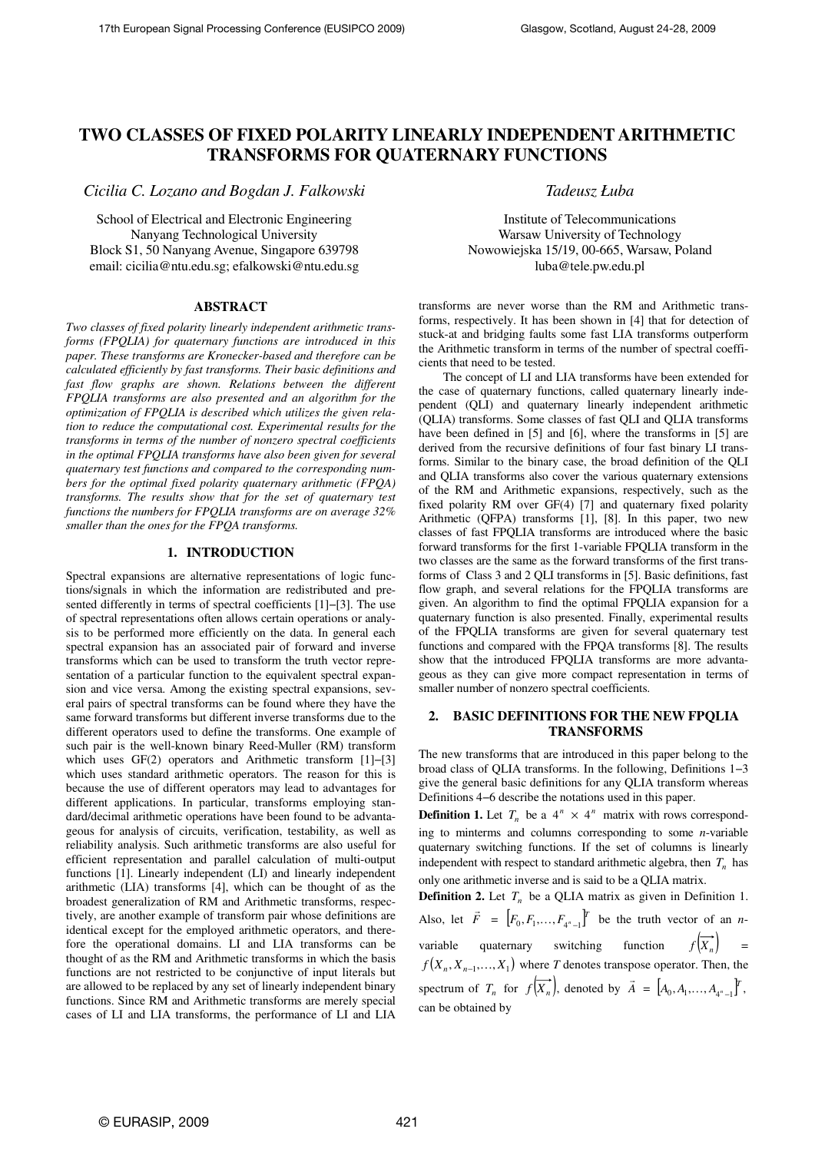# **TWO CLASSES OF FIXED POLARITY LINEARLY INDEPENDENT ARITHMETIC TRANSFORMS FOR QUATERNARY FUNCTIONS**

*Cicilia C. Lozano and Bogdan J. Falkowski* 

School of Electrical and Electronic Engineering Nanyang Technological University Block S1, 50 Nanyang Avenue, Singapore 639798 email: cicilia@ntu.edu.sg; efalkowski@ntu.edu.sg

## **ABSTRACT**

*Two classes of fixed polarity linearly independent arithmetic transforms (FPQLIA) for quaternary functions are introduced in this paper. These transforms are Kronecker-based and therefore can be calculated efficiently by fast transforms. Their basic definitions and fast flow graphs are shown. Relations between the different FPQLIA transforms are also presented and an algorithm for the optimization of FPQLIA is described which utilizes the given relation to reduce the computational cost. Experimental results for the transforms in terms of the number of nonzero spectral coefficients in the optimal FPQLIA transforms have also been given for several quaternary test functions and compared to the corresponding numbers for the optimal fixed polarity quaternary arithmetic (FPQA) transforms. The results show that for the set of quaternary test functions the numbers for FPQLIA transforms are on average 32% smaller than the ones for the FPQA transforms.* 

#### **1. INTRODUCTION**

Spectral expansions are alternative representations of logic functions/signals in which the information are redistributed and presented differently in terms of spectral coefficients [1]−[3]. The use of spectral representations often allows certain operations or analysis to be performed more efficiently on the data. In general each spectral expansion has an associated pair of forward and inverse transforms which can be used to transform the truth vector representation of a particular function to the equivalent spectral expansion and vice versa. Among the existing spectral expansions, several pairs of spectral transforms can be found where they have the same forward transforms but different inverse transforms due to the different operators used to define the transforms. One example of such pair is the well-known binary Reed-Muller (RM) transform which uses GF(2) operators and Arithmetic transform [1]−[3] which uses standard arithmetic operators. The reason for this is because the use of different operators may lead to advantages for different applications. In particular, transforms employing standard/decimal arithmetic operations have been found to be advantageous for analysis of circuits, verification, testability, as well as reliability analysis. Such arithmetic transforms are also useful for efficient representation and parallel calculation of multi-output functions [1]. Linearly independent (LI) and linearly independent arithmetic (LIA) transforms [4], which can be thought of as the broadest generalization of RM and Arithmetic transforms, respectively, are another example of transform pair whose definitions are identical except for the employed arithmetic operators, and therefore the operational domains. LI and LIA transforms can be thought of as the RM and Arithmetic transforms in which the basis functions are not restricted to be conjunctive of input literals but are allowed to be replaced by any set of linearly independent binary functions. Since RM and Arithmetic transforms are merely special cases of LI and LIA transforms, the performance of LI and LIA

*Tadeusz Łuba* 

Institute of Telecommunications Warsaw University of Technology Nowowiejska 15/19, 00-665, Warsaw, Poland luba@tele.pw.edu.pl

transforms are never worse than the RM and Arithmetic transforms, respectively. It has been shown in [4] that for detection of stuck-at and bridging faults some fast LIA transforms outperform the Arithmetic transform in terms of the number of spectral coefficients that need to be tested.

The concept of LI and LIA transforms have been extended for the case of quaternary functions, called quaternary linearly independent (QLI) and quaternary linearly independent arithmetic (QLIA) transforms. Some classes of fast QLI and QLIA transforms have been defined in [5] and [6], where the transforms in [5] are derived from the recursive definitions of four fast binary LI transforms. Similar to the binary case, the broad definition of the QLI and QLIA transforms also cover the various quaternary extensions of the RM and Arithmetic expansions, respectively, such as the fixed polarity RM over GF(4) [7] and quaternary fixed polarity Arithmetic (QFPA) transforms [1], [8]. In this paper, two new classes of fast FPQLIA transforms are introduced where the basic forward transforms for the first 1-variable FPQLIA transform in the two classes are the same as the forward transforms of the first transforms of Class 3 and 2 QLI transforms in [5]. Basic definitions, fast flow graph, and several relations for the FPQLIA transforms are given. An algorithm to find the optimal FPQLIA expansion for a quaternary function is also presented. Finally, experimental results of the FPQLIA transforms are given for several quaternary test functions and compared with the FPQA transforms [8]. The results show that the introduced FPQLIA transforms are more advantageous as they can give more compact representation in terms of smaller number of nonzero spectral coefficients.

# **2. BASIC DEFINITIONS FOR THE NEW FPQLIA TRANSFORMS**

The new transforms that are introduced in this paper belong to the broad class of QLIA transforms. In the following, Definitions 1−3 give the general basic definitions for any QLIA transform whereas Definitions 4−6 describe the notations used in this paper.

**Definition 1.** Let  $T_n$  be a  $4^n \times 4^n$  matrix with rows corresponding to minterms and columns corresponding to some *n*-variable quaternary switching functions. If the set of columns is linearly independent with respect to standard arithmetic algebra, then  $T<sub>n</sub>$  has only one arithmetic inverse and is said to be a QLIA matrix.

**Definition 2.** Let  $T_n$  be a QLIA matrix as given in Definition 1. Also, let *F* r  $= \left[ F_0, F_1, \ldots, F_{4^n-1} \right]^T$  be the truth vector of an *n*variable quaternary switching function  $f(\overrightarrow{X_n})$  =  $f(X_n, X_{n-1},..., X_1)$  where *T* denotes transpose operator. Then, the spectrum of  $T_n$  for  $f(X_n)$ , denoted by *A* .<br>..  $= [A_0, A_1, \ldots, A_{4^n-1}]^T$ can be obtained by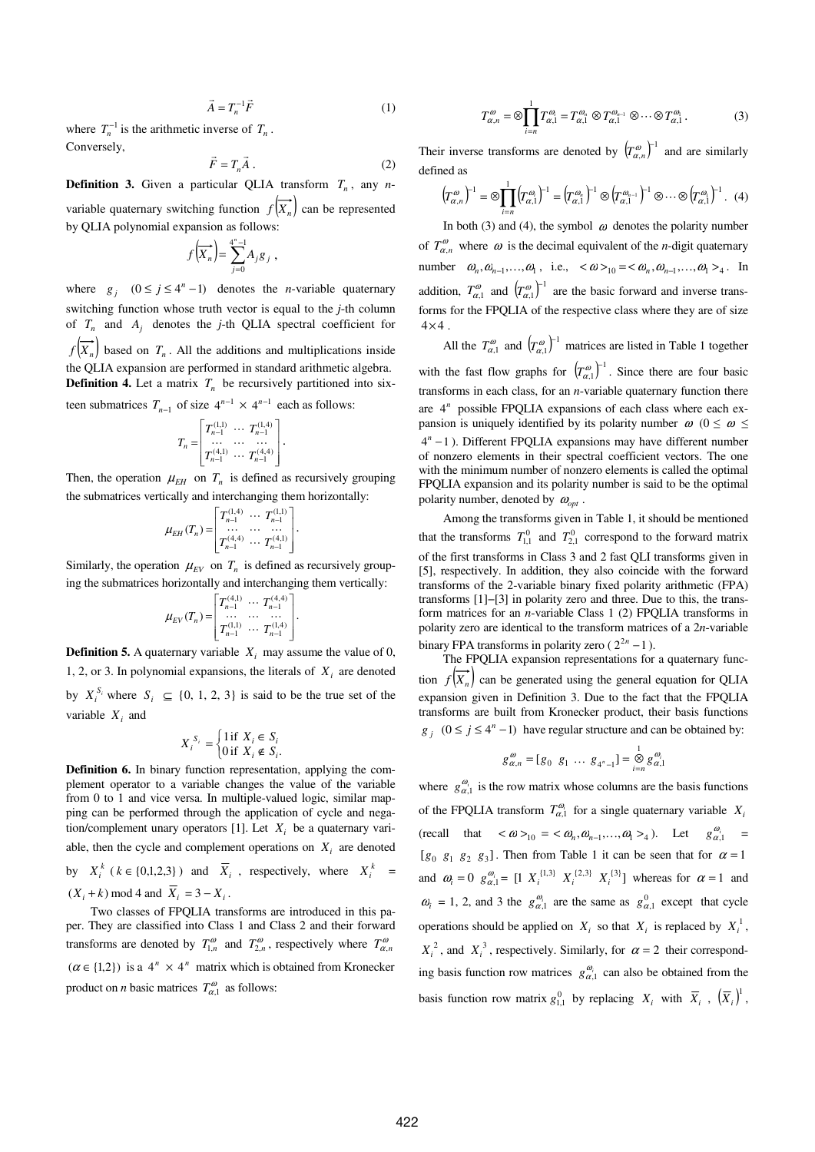$$
\vec{A} = T_n^{-1} \vec{F} \tag{1}
$$

where  $T_n^{-1}$  is the arithmetic inverse of  $T_n$ . Conversely,  $\overline{a}$ 

$$
\vec{F} = T_n \vec{A} \,. \tag{2}
$$

**Definition 3.** Given a particular QLIA transform *T<sup>n</sup>* , any *n*variable quaternary switching function  $f(\vec{x})$  can be represented by QLIA polynomial expansion as follows:

$$
f\left(\overrightarrow{X_n}\right) = \sum_{j=0}^{4^n - 1} A_j g_j,
$$

where  $g_j$   $(0 \le j \le 4^n - 1)$  denotes the *n*-variable quaternary switching function whose truth vector is equal to the *j*-th column of  $T_n$  and  $A_j$  denotes the *j*-th QLIA spectral coefficient for  $f(X_n)$  based on  $T_n$ . All the additions and multiplications inside the QLIA expansion are performed in standard arithmetic algebra. **Definition 4.** Let a matrix  $T_n$  be recursively partitioned into six-

teen submatrices  $T_{n-1}$  of size  $4^{n-1} \times 4^{n-1}$  each as follows:

$$
T_n = \begin{bmatrix} T_{n-1}^{(1,1)} & \cdots & T_{n-1}^{(1,4)} \\ \cdots & \cdots & \cdots \\ T_{n-1}^{(4,1)} & \cdots & T_{n-1}^{(4,4)} \end{bmatrix}.
$$

Then, the operation  $\mu_{EH}$  on  $T_n$  is defined as recursively grouping the submatrices vertically and interchanging them horizontally:

$$
\mu_{EH}(T_n) = \begin{bmatrix} T_{n-1}^{(1,4)} & \cdots & T_{n-1}^{(1,1)} \\ \cdots & \cdots & \cdots \\ T_{n-1}^{(4,4)} & \cdots & T_{n-1}^{(4,1)} \end{bmatrix}.
$$

Similarly, the operation  $\mu_{EV}$  on  $T_n$  is defined as recursively grouping the submatrices horizontally and interchanging them vertically:

$$
\mu_{EV}(T_n) = \begin{bmatrix} T_{n-1}^{(4,1)} & \cdots & T_{n-1}^{(4,4)} \\ \cdots & \cdots & \cdots \\ T_{n-1}^{(1,1)} & \cdots & T_{n-1}^{(1,4)} \end{bmatrix}.
$$

**Definition 5.** A quaternary variable  $X_i$  may assume the value of 0, 1, 2, or 3. In polynomial expansions, the literals of  $X_i$  are denoted by  $X_i^{S_i}$  where  $S_i \subseteq \{0, 1, 2, 3\}$  is said to be the true set of the variable  $X_i$  and

$$
X_i^{S_i} = \begin{cases} 1 \text{ if } X_i \in S_i \\ 0 \text{ if } X_i \notin S_i. \end{cases}
$$

**Definition 6.** In binary function representation, applying the complement operator to a variable changes the value of the variable from 0 to 1 and vice versa. In multiple-valued logic, similar mapping can be performed through the application of cycle and negation/complement unary operators [1]. Let  $X_i$  be a quaternary variable, then the cycle and complement operations on  $X_i$  are denoted by  $X_i^k$  ( $k \in \{0,1,2,3\}$ ) and  $\overline{X}_i$ , respectively, where  $X_i^k$  =  $(X_i + k) \text{ mod } 4 \text{ and } X_i = 3 - X_i.$ 

Two classes of FPQLIA transforms are introduced in this paper. They are classified into Class 1 and Class 2 and their forward transforms are denoted by  $T_{1,n}^{\omega}$  and  $T_{2,n}^{\omega}$ , respectively where  $T_{\alpha,n}^{\omega}$  $(\alpha \in \{1,2\})$  is a  $4^n \times 4^n$  matrix which is obtained from Kronecker product on *n* basic matrices  $T_{\alpha,1}^{\omega}$  as follows:

$$
T_{\alpha,n}^{\omega} = \otimes \prod_{i=n}^{1} T_{\alpha,1}^{\omega_i} = T_{\alpha,1}^{\omega_n} \otimes T_{\alpha,1}^{\omega_{n-1}} \otimes \cdots \otimes T_{\alpha,1}^{\omega_1}.
$$
 (3)

Their inverse transforms are denoted by  $\left(T_{\alpha,n}^{\omega}\right)^{-1}$  $\left(T_{\alpha,n}^{\omega}\right)^{-1}$  and are similarly defined as

$$
\left(T_{\alpha,n}^{\omega}\right)^{-1} = \otimes \prod_{i=n}^{1} \left(T_{\alpha,1}^{\omega_i}\right)^{-1} = \left(T_{\alpha,1}^{\omega_n}\right)^{-1} \otimes \left(T_{\alpha,1}^{\omega_{n-1}}\right)^{-1} \otimes \cdots \otimes \left(T_{\alpha,1}^{\omega_1}\right)^{-1}.
$$
 (4)

In both (3) and (4), the symbol  $\omega$  denotes the polarity number of  $T^{\omega}_{\alpha,n}$  where  $\omega$  is the decimal equivalent of the *n*-digit quaternary number  $\omega_n, \omega_{n-1}, \ldots, \omega_1$ , i.e.,  $\langle \omega \rangle_{10} = \langle \omega_n, \omega_{n-1}, \ldots, \omega_1 \rangle_4$ . In addition,  $T_{\alpha,1}^{\omega}$  and  $(T_{\alpha,1}^{\omega})^{-1}$  $\left(T_{\alpha,1}^{\omega}\right)^{-1}$  are the basic forward and inverse transforms for the FPQLIA of the respective class where they are of size  $4\times 4$ .

All the  $T_{\alpha,1}^{\omega}$  and  $(T_{\alpha,1}^{\omega})^{-1}$  $\left(T_{\alpha,1}^{\omega}\right)^{-1}$  matrices are listed in Table 1 together with the fast flow graphs for  $(T_{\alpha,1}^{\omega})^{-1}$  $(T_{\alpha,1}^{\omega})^{-1}$ . Since there are four basic transforms in each class, for an *n*-variable quaternary function there are  $4^n$  possible FPQLIA expansions of each class where each expansion is uniquely identified by its polarity number  $\omega$  ( $0 \le \omega \le$ 4 −1 *n* ). Different FPQLIA expansions may have different number of nonzero elements in their spectral coefficient vectors. The one with the minimum number of nonzero elements is called the optimal FPQLIA expansion and its polarity number is said to be the optimal polarity number, denoted by  $\omega_{opt}$ .

Among the transforms given in Table 1, it should be mentioned that the transforms  $T_{1,1}^0$  and  $T_{2,1}^0$  correspond to the forward matrix of the first transforms in Class 3 and 2 fast QLI transforms given in [5], respectively. In addition, they also coincide with the forward transforms of the 2-variable binary fixed polarity arithmetic (FPA) transforms [1]−[3] in polarity zero and three. Due to this, the transform matrices for an *n*-variable Class 1 (2) FPQLIA transforms in polarity zero are identical to the transform matrices of a 2*n*-variable binary FPA transforms in polarity zero  $(2^{2n} - 1)$ .

The FPQLIA expansion representations for a quaternary function  $f(\overline{X_n})$  can be generated using the general equation for QLIA expansion given in Definition 3. Due to the fact that the FPQLIA transforms are built from Kronecker product, their basis functions *g*<sub>*j*</sub> (0 ≤ *j* ≤ 4<sup>*n*</sup> −1) have regular structure and can be obtained by:

$$
g_{\alpha,n}^{\omega} = [g_0 \ g_1 \ \dots \ g_{4^n-1}] = \bigotimes_{i=n}^{1} g_{\alpha,1}^{\omega_i}
$$

where  $g_{\alpha,1}^{\omega_i}$  is the row matrix whose columns are the basis functions of the FPQLIA transform  $T^{\omega_i}_{\alpha,1}$  for a single quaternary variable  $X_i$ (recall that  $\langle \omega \rangle_{10} = \langle \omega_n, \omega_{n-1}, \dots, \omega_1 \rangle_4$ ). Let  $g_{\alpha,1}^{\omega_i} =$  $[g_0 \ g_1 \ g_2 \ g_3]$ . Then from Table 1 it can be seen that for  $\alpha = 1$ and  $\omega_i = 0$   $g_{\alpha,1}^{\omega_i} = [1 \ X_i^{\{1,3\}} \ X_i^{\{2,3\}} \ X_i^{\{3\}}]$  whereas for  $\alpha = 1$  and  $\omega_i = 1, 2$ , and 3 the  $g_{\alpha,1}^{\omega_i}$  are the same as  $g_{\alpha,1}^0$  except that cycle operations should be applied on  $X_i$  so that  $X_i$  is replaced by  $X_i^1$ ,  $X_i^2$ , and  $X_i^3$ , respectively. Similarly, for  $\alpha = 2$  their corresponding basis function row matrices  $g_{\alpha,1}^{\omega_i}$  can also be obtained from the basis function row matrix  $g_{1,1}^0$  by replacing  $X_i$  with  $\overline{X}_i$ ,  $(\overline{X}_i)^1$ ,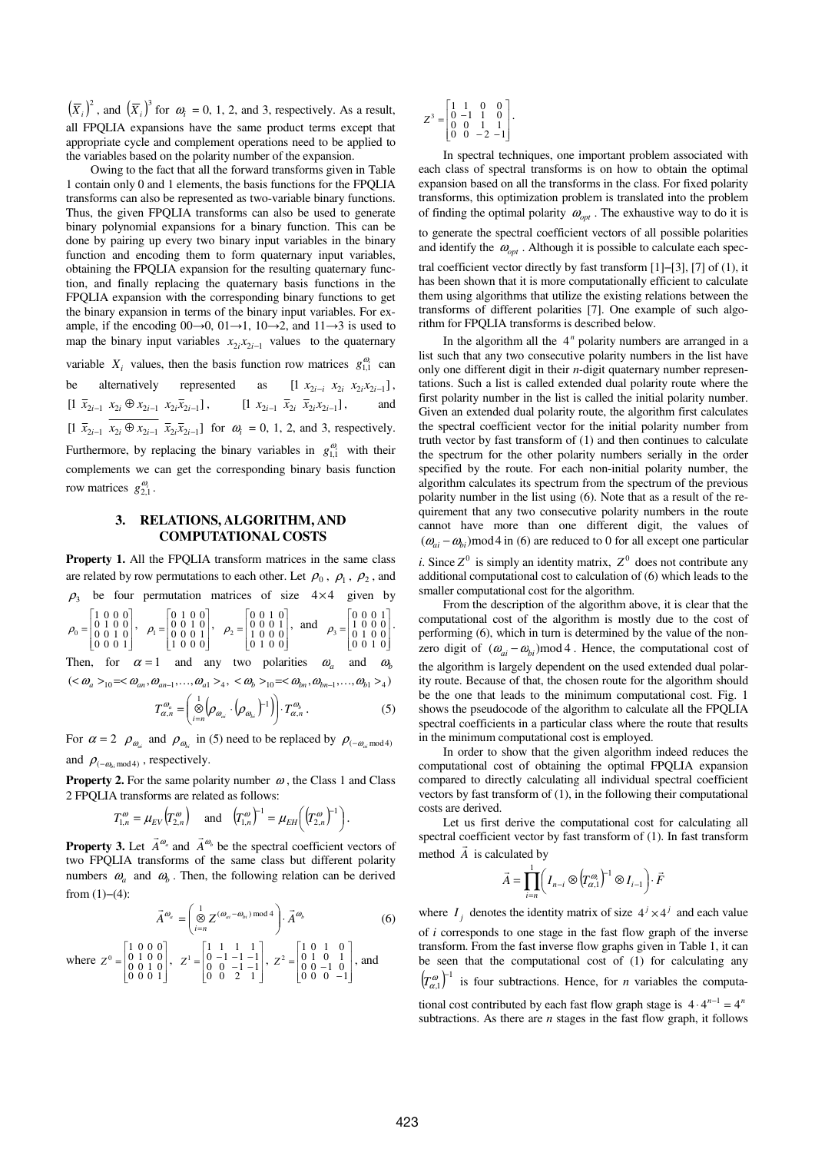$(\overline{X}_i)^2$ , and  $(\overline{X}_i)^3$  for  $\omega_i = 0, 1, 2$ , and 3, respectively. As a result, all FPQLIA expansions have the same product terms except that appropriate cycle and complement operations need to be applied to the variables based on the polarity number of the expansion.

Owing to the fact that all the forward transforms given in Table 1 contain only 0 and 1 elements, the basis functions for the FPQLIA transforms can also be represented as two-variable binary functions. Thus, the given FPQLIA transforms can also be used to generate binary polynomial expansions for a binary function. This can be done by pairing up every two binary input variables in the binary function and encoding them to form quaternary input variables, obtaining the FPQLIA expansion for the resulting quaternary function, and finally replacing the quaternary basis functions in the FPQLIA expansion with the corresponding binary functions to get the binary expansion in terms of the binary input variables. For example, if the encoding  $00\rightarrow 0$ ,  $01\rightarrow 1$ ,  $10\rightarrow 2$ , and  $11\rightarrow 3$  is used to map the binary input variables  $x_{2i}x_{2i-1}$  values to the quaternary variable  $X_i$  values, then the basis function row matrices  $g_{1,1}^{\omega_i}$  can be alternatively represented as  $[1 \ x_{2i-i} \ x_{2i} \ x_{2i} x_{2i-1}],$  $[1 \ \bar{x}_{2i-1} \ x_{2i} \oplus x_{2i-1} \ x_{2i} \bar{x}_{2i-1}],$   $[1 \ x_{2i-1} \ \bar{x}_{2i} \ \bar{x}_{2i} x_{2i-1}],$  and  $[1 \bar{x}_{2i-1} x_{2i} ⊕ x_{2i-1} \bar{x}_{2i} \bar{x}_{2i-1}]$  for  $\omega_i = 0, 1, 2$ , and 3, respectively. Furthermore, by replacing the binary variables in  $g_{1,1}^{\omega_i}$  with their complements we can get the corresponding binary basis function row matrices  $g_{2,1}^{\omega_i}$ .

## **3. RELATIONS, ALGORITHM, AND COMPUTATIONAL COSTS**

**Property 1.** All the FPQLIA transform matrices in the same class are related by row permutations to each other. Let  $\rho_0$ ,  $\rho_1$ ,  $\rho_2$ , and  $\rho_3$  be four permutation matrices of size 4×4 given by

  $\overline{\phantom{a}}$ 1  $\overline{\phantom{a}}$ L ſ =  $\begin{array}{c} 1 & 0 & 0 & 0 \\ 0 & 1 & 0 & 0 \\ 0 & 0 & 1 & 0 \\ 0 & 0 & 0 & 1 \end{array}$  $\rho_0 = \begin{bmatrix} 0 & 1 & 0 & 0 \\ 0 & 0 & 1 & 0 \end{bmatrix}$ ,  $\overline{\phantom{a}}$ ı  $\overline{\phantom{a}}$ L Г = 0 1 0 0<br>0 0 1 0<br>0 0 0 1<br>1 0 0 0  $\rho_1 = \begin{vmatrix} 0 & 0 & 1 & 0 \\ 0 & 0 & 0 & 1 \end{vmatrix}$ ,  $\overline{\phantom{a}}$ I ı  $\parallel$ L Г = 0 0 1 0<br>0 0 0 1<br>1 0 0 0<br>0 1 0 0  $\rho_2 = \begin{bmatrix} 0 & 0 & 0 & 1 \\ 1 & 0 & 0 & 0 \end{bmatrix}$ , and  $\ddot{\phantom{a}}$  $\overline{\phantom{a}}$ I  $\overline{\phantom{a}}$ L Г =  $\begin{array}{c} 0 & 0 & 0 & 1 \\ 1 & 0 & 0 & 0 \\ 0 & 1 & 0 & 0 \\ 0 & 0 & 1 & 0 \end{array}$  $\rho_3 = \begin{vmatrix} 1 & 0 & 0 & 0 \\ 0 & 1 & 0 & 0 \end{vmatrix}$ . Then, for  $\alpha = 1$  and any two polarities  $\omega_a$  and  $\omega_b$ 

 $( $\omega_a>_{10}$  =  $\omega_{an}, \omega_{an-1}, ..., \omega_{a1}>_4, <\omega_b>_{10}$  =  $\omega_{bn}, \omega_{bn-1}, ..., \omega_{b1}>_4$$ 

$$
T_{\alpha,n}^{\omega_a} = \left(\bigotimes_{i=n}^{1} \left(\rho_{\omega_{ai}} \cdot \left(\rho_{\omega_{bi}}\right)^{-1}\right)\right) \cdot T_{\alpha,n}^{\omega_b} . \tag{5}
$$

For  $\alpha = 2$   $\rho_{\omega_{ai}}$  and  $\rho_{\omega_{bi}}$  in (5) need to be replaced by  $\rho_{(-\omega_{ai} \mod 4)}$ and  $\rho_{(-\omega_{bi} \mod 4)}$ , respectively.

**Property 2.** For the same polarity number  $\omega$ , the Class 1 and Class 2 FPQLIA transforms are related as follows:

$$
T_{1,n}^{\omega} = \mu_{EV} (T_{2,n}^{\omega})
$$
 and  $(T_{1,n}^{\omega})^{-1} = \mu_{EH} ((T_{2,n}^{\omega})^{-1})$ .

**Property 3.** Let  $\vec{A}^{\omega_a}$ and  $\vec{A}^{\omega_h}$ be the spectral coefficient vectors of two FPQLIA transforms of the same class but different polarity numbers  $\omega_a$  and  $\omega_b$ . Then, the following relation can be derived from  $(1)–(4)$ :

$$
\vec{A}^{\omega_a} = \left(\bigotimes_{i=n}^1 Z^{(\omega_{ai} - \omega_{bi}) \bmod 4} \right) \cdot \vec{A}^{\omega_b} \tag{6}
$$

where 
$$
Z^0 = \begin{bmatrix} 1 & 0 & 0 & 0 \\ 0 & 1 & 0 & 0 \\ 0 & 0 & 1 & 0 \\ 0 & 0 & 0 & 1 \end{bmatrix}
$$
,  $Z^1 = \begin{bmatrix} 1 & 1 & 1 & 1 \\ 0 & -1 & -1 & -1 \\ 0 & 0 & -1 & -1 \\ 0 & 0 & 2 & 1 \end{bmatrix}$ ,  $Z^2 = \begin{bmatrix} 1 & 0 & 1 & 0 \\ 0 & 1 & 0 & 1 \\ 0 & 0 & -1 & 0 \\ 0 & 0 & 0 & -1 \end{bmatrix}$ , and

$$
Z^3 = \begin{bmatrix} 1 & 1 & 0 & 0 \\ 0 & -1 & 1 & 0 \\ 0 & 0 & 1 & 1 \\ 0 & 0 & -2 & -1 \end{bmatrix}.
$$

In spectral techniques, one important problem associated with each class of spectral transforms is on how to obtain the optimal expansion based on all the transforms in the class. For fixed polarity transforms, this optimization problem is translated into the problem of finding the optimal polarity  $\omega_{opt}$ . The exhaustive way to do it is to generate the spectral coefficient vectors of all possible polarities and identify the  $\omega_{opt}$ . Although it is possible to calculate each spectral coefficient vector directly by fast transform [1]−[3], [7] of (1), it has been shown that it is more computationally efficient to calculate them using algorithms that utilize the existing relations between the transforms of different polarities [7]. One example of such algorithm for FPQLIA transforms is described below.

In the algorithm all the 4<sup>n</sup> polarity numbers are arranged in a list such that any two consecutive polarity numbers in the list have only one different digit in their *n-*digit quaternary number representations. Such a list is called extended dual polarity route where the first polarity number in the list is called the initial polarity number. Given an extended dual polarity route, the algorithm first calculates the spectral coefficient vector for the initial polarity number from truth vector by fast transform of (1) and then continues to calculate the spectrum for the other polarity numbers serially in the order specified by the route. For each non-initial polarity number, the algorithm calculates its spectrum from the spectrum of the previous polarity number in the list using (6). Note that as a result of the requirement that any two consecutive polarity numbers in the route cannot have more than one different digit, the values of  $({\omega}_{ai} - {\omega}_{bi})$  mod 4 in (6) are reduced to 0 for all except one particular

*i*. Since  $Z^0$  is simply an identity matrix,  $Z^0$  does not contribute any additional computational cost to calculation of (6) which leads to the smaller computational cost for the algorithm.

From the description of the algorithm above, it is clear that the computational cost of the algorithm is mostly due to the cost of performing (6), which in turn is determined by the value of the nonzero digit of  $( \omega_{ai} - \omega_{bi} )$  mod 4. Hence, the computational cost of the algorithm is largely dependent on the used extended dual polarity route. Because of that, the chosen route for the algorithm should be the one that leads to the minimum computational cost. Fig. 1 shows the pseudocode of the algorithm to calculate all the FPQLIA spectral coefficients in a particular class where the route that results in the minimum computational cost is employed.

In order to show that the given algorithm indeed reduces the computational cost of obtaining the optimal FPQLIA expansion compared to directly calculating all individual spectral coefficient vectors by fast transform of (1), in the following their computational costs are derived.

Let us first derive the computational cost for calculating all spectral coefficient vector by fast transform of  $(1)$ . In fast transform method *A* is calculated by

$$
\vec{A} = \prod_{i=n}^{1} \left( I_{n-i} \otimes \left( T_{\alpha,1}^{\omega_i} \right)^{-1} \otimes I_{i-1} \right) \cdot \vec{F}
$$

where  $I_j$  denotes the identity matrix of size  $4^j \times 4^j$  and each value of *i* corresponds to one stage in the fast flow graph of the inverse transform. From the fast inverse flow graphs given in Table 1, it can be seen that the computational cost of (1) for calculating any  $(r_{\alpha}^{\omega})^{-1}$  $\left(T_{\alpha,1}^{\omega}\right)^{-1}$  is four subtractions. Hence, for *n* variables the computa-

tional cost contributed by each fast flow graph stage is  $4 \cdot 4^{n-1} = 4^n$ subtractions. As there are *n* stages in the fast flow graph, it follows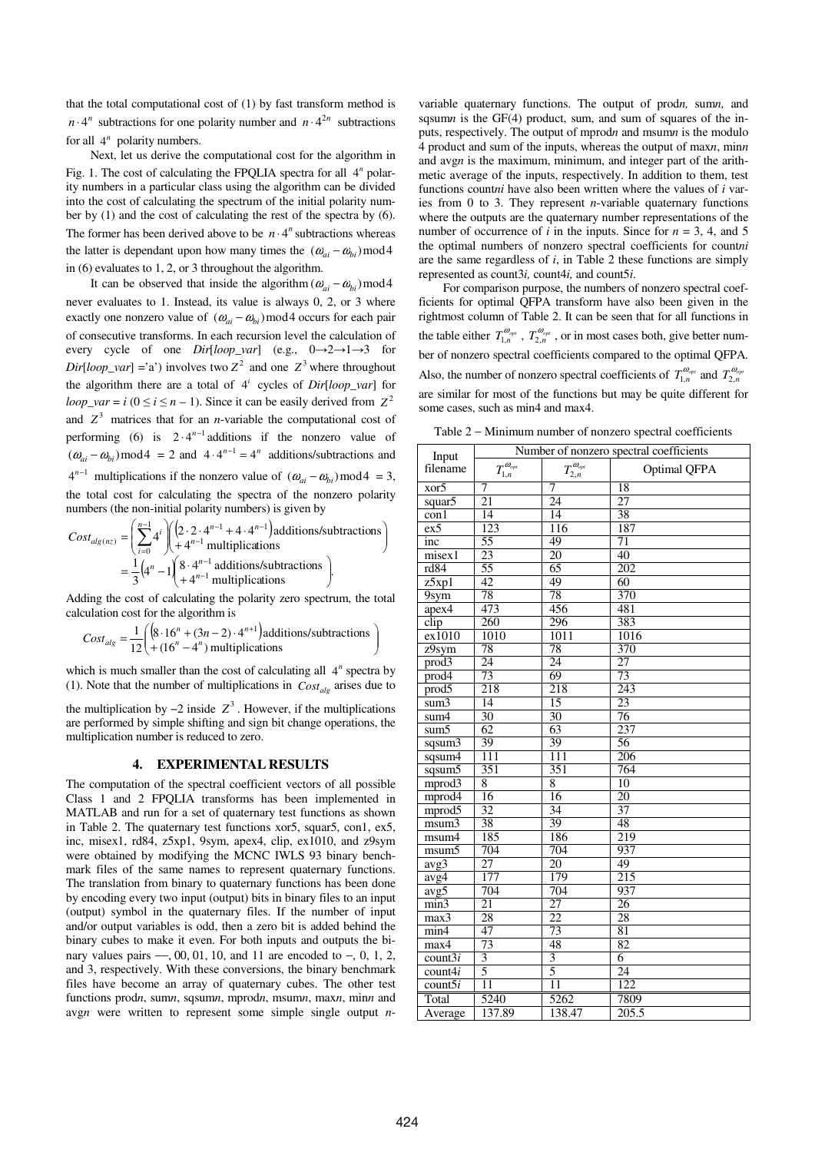that the total computational cost of (1) by fast transform method is  $n \cdot 4^n$  subtractions for one polarity number and  $n \cdot 4^{2n}$  subtractions for all  $4^n$  polarity numbers.

Next, let us derive the computational cost for the algorithm in Fig. 1. The cost of calculating the FPQLIA spectra for all 4<sup>n</sup> polarity numbers in a particular class using the algorithm can be divided into the cost of calculating the spectrum of the initial polarity number by (1) and the cost of calculating the rest of the spectra by (6). The former has been derived above to be  $n \cdot 4^n$  subtractions whereas the latter is dependant upon how many times the  $(\omega_{ai} - \omega_{bi})$  mod 4 in (6) evaluates to 1, 2, or 3 throughout the algorithm.

It can be observed that inside the algorithm  $(\omega_{ai} - \omega_{bi})$  mod 4 never evaluates to 1. Instead, its value is always 0, 2, or 3 where exactly one nonzero value of  $(\omega_{ai} - \omega_{bi})$  mod4 occurs for each pair of consecutive transforms. In each recursion level the calculation of every cycle of one *Dir*[*loop\_var*] (e.g., 0→2→1→3 for  $Dir[loop\_var] = 'a'$  involves two  $Z^2$  and one  $Z^3$  where throughout the algorithm there are a total of  $4^i$  cycles of *Dir*[*loop\_var*] for  $loop\_var = i \ (0 \le i \le n - 1)$ . Since it can be easily derived from  $Z^2$ and  $Z<sup>3</sup>$  matrices that for an *n*-variable the computational cost of performing (6) is  $2 \cdot 4^{n-1}$  additions if the nonzero value of  $(\omega_{ai} - \omega_{bi}) \mod 4 = 2$  and  $4 \cdot 4^{n-1} = 4^n$  additions/subtractions and  $4^{n-1}$  multiplications if the nonzero value of  $(\omega_{ai} - \omega_{bi})$  mod4 = 3, the total cost for calculating the spectra of the nonzero polarity numbers (the non-initial polarity numbers) is given by

$$
Cost_{alg(nz)} = \left(\sum_{i=0}^{n-1} 4^i \right) \left(\frac{2 \cdot 2 \cdot 4^{n-1} + 4 \cdot 4^{n-1}}{+4^{n-1}} \text{ multiplications/subtractions}\right)
$$

$$
= \frac{1}{3} \left(4^n - 1 \right) \left(\frac{8 \cdot 4^{n-1} \text{ additions/subtractions}}{+4^{n-1} \text{ multiplications}}\right).
$$

Adding the cost of calculating the polarity zero spectrum, the total calculation cost for the algorithm is

$$
Cost_{alg} = \frac{1}{12} \begin{pmatrix} \left(8.16^{n} + (3n - 2) \cdot 4^{n+1}\right) \text{additions/subtractions} \\ + (16^{n} - 4^{n}) \text{ multiplications} \end{pmatrix}
$$

which is much smaller than the cost of calculating all  $4^n$  spectra by (1). Note that the number of multiplications in  $Cost_{alo}$  arises due to

the multiplication by  $-2$  inside  $Z^3$ . However, if the multiplications are performed by simple shifting and sign bit change operations, the multiplication number is reduced to zero.

#### **4. EXPERIMENTAL RESULTS**

The computation of the spectral coefficient vectors of all possible Class 1 and 2 FPQLIA transforms has been implemented in MATLAB and run for a set of quaternary test functions as shown in Table 2. The quaternary test functions xor5, squar5, con1, ex5, inc, misex1, rd84, z5xp1, 9sym, apex4, clip, ex1010, and z9sym were obtained by modifying the MCNC IWLS 93 binary benchmark files of the same names to represent quaternary functions. The translation from binary to quaternary functions has been done by encoding every two input (output) bits in binary files to an input (output) symbol in the quaternary files. If the number of input and/or output variables is odd, then a zero bit is added behind the binary cubes to make it even. For both inputs and outputs the binary values pairs  $-$ , 00, 01, 10, and 11 are encoded to  $-$ , 0, 1, 2, and 3, respectively. With these conversions, the binary benchmark files have become an array of quaternary cubes. The other test functions prod*n*, sum*n*, sqsum*n*, mprod*n*, msum*n*, max*n*, min*n* and avg*n* were written to represent some simple single output *n*- variable quaternary functions. The output of prod*n,* sum*n,* and sqsum*n* is the GF(4) product, sum, and sum of squares of the inputs, respectively. The output of mprod*n* and msum*n* is the modulo 4 product and sum of the inputs, whereas the output of max*n*, min*n* and avg*n* is the maximum, minimum, and integer part of the arithmetic average of the inputs, respectively. In addition to them, test functions count*ni* have also been written where the values of *i* varies from 0 to 3. They represent *n*-variable quaternary functions where the outputs are the quaternary number representations of the number of occurrence of *i* in the inputs. Since for  $n = 3$ , 4, and 5 the optimal numbers of nonzero spectral coefficients for count*ni*  are the same regardless of *i*, in Table 2 these functions are simply represented as count3*i,* count4*i,* and count5*i*.

For comparison purpose, the numbers of nonzero spectral coefficients for optimal QFPA transform have also been given in the rightmost column of Table 2. It can be seen that for all functions in the table either  $T_{1,n}^{\omega_{opt}}$ ,  $T_{2,n}^{\omega_{opt}}$ , or in most cases both, give better number of nonzero spectral coefficients compared to the optimal QFPA. Also, the number of nonzero spectral coefficients of  $T_{1,n}^{\omega_{opt}}$  and  $T_{2,n}^{\omega_{opt}}$ are similar for most of the functions but may be quite different for some cases, such as min4 and max4.

Table 2 − Minimum number of nonzero spectral coefficients

| Input                    | Number of nonzero spectral coefficients |                          |                  |  |  |
|--------------------------|-----------------------------------------|--------------------------|------------------|--|--|
| filename                 | $T_{1,n}^{\omega_{opt}}$                | $T_{2,n}^{\omega_{opt}}$ | Optimal QFPA     |  |  |
| xor5                     | 7                                       | 7                        | 18               |  |  |
| squar5                   | 21                                      | 24                       | 27               |  |  |
| $\overline{\text{con1}}$ | 14                                      | $\overline{14}$          | 38               |  |  |
| ex5                      | 123                                     | 116                      | 187              |  |  |
| inc                      | 55                                      | 49                       | 71               |  |  |
| misex1                   | 23                                      | $\overline{20}$          | 40               |  |  |
| rd84                     | 55                                      | 65                       | 202              |  |  |
| z5xp1                    | 42                                      | 49                       | $\overline{60}$  |  |  |
| 9sym                     | $\overline{78}$                         | 78                       | 370              |  |  |
| apex4                    | 473                                     | 456                      | 481              |  |  |
| $\overline{clip}$        | 260                                     | 296                      | 383              |  |  |
| ex1010                   | 1010                                    | 1011                     | 1016             |  |  |
| $29$ sym                 | 78                                      | 78                       | 370              |  |  |
| prod3                    | 24                                      | 24                       | 27               |  |  |
| prod4                    | 73                                      | 69                       | 73               |  |  |
| prod5                    | 218                                     | 218                      | $\overline{243}$ |  |  |
| sum3                     | $\overline{14}$                         | 15                       | 23               |  |  |
| sum4                     | 30                                      | 30                       | 76               |  |  |
| sum <sub>5</sub>         | 62                                      | $\overline{63}$          | 237              |  |  |
| sgsum3                   | 39                                      | 39                       | 56               |  |  |
| sqsum4                   | $\overline{111}$                        | 111                      | 206              |  |  |
| sqsum5                   | 351                                     | 351                      | 764              |  |  |
| mprod3                   | 8                                       | 8                        | 10               |  |  |
| mprod4                   | 16                                      | 16                       | $\overline{20}$  |  |  |
| mprod5                   | 32                                      | $\overline{34}$          | 37               |  |  |
| msum3                    | 38                                      | 39                       | 48               |  |  |
| msum4                    | 185                                     | 186                      | 219              |  |  |
| msum <sub>5</sub>        | 704                                     | 704                      | 937              |  |  |
| $avg\overline{3}$        | $\overline{27}$                         | $\overline{20}$          | 49               |  |  |
| avg4                     | 177                                     | 179                      | $\overline{215}$ |  |  |
| $\overline{avg5}$        | 704                                     | 704                      | 937              |  |  |
| min3                     | $\overline{21}$                         | $\overline{27}$          | $\overline{26}$  |  |  |
| max3                     | 28                                      | 22                       | 28               |  |  |
| min4                     | 47                                      | 73                       | 81               |  |  |
| $max\overline{4}$        | $\overline{73}$                         | 48                       | 82               |  |  |
| count3i                  | $\overline{\mathbf{3}}$                 | $\overline{3}$           | 6                |  |  |
| count4i                  | 5                                       | 5                        | $\overline{24}$  |  |  |
| count5i                  | $\overline{11}$                         | $\overline{11}$          | 122              |  |  |
| Total                    | 5240                                    | 5262                     | 7809             |  |  |
| Average                  | 137.89                                  | 138.47                   | 205.5            |  |  |